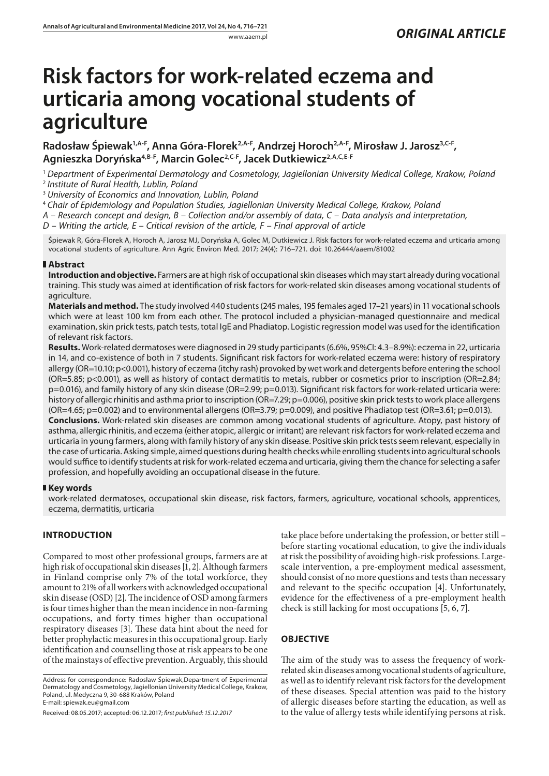# **Risk factors for work-related eczema and urticaria among vocational students of agriculture**

Radosław Śpiewak<sup>1,A-F</sup>, Anna Góra-Florek<sup>2,A-F</sup>, Andrzej Horoch<sup>2,A-F</sup>, Mirosław J. Jarosz<sup>3,C-F</sup>, **Agnieszka Doryńska4,B-F, Marcin Golec2,C-F, Jacek Dutkiewicz2,A,C,E-F**

<sup>1</sup> *Department of Experimental Dermatology and Cosmetology, Jagiellonian University Medical College, Krakow, Poland* <sup>2</sup> *Institute of Rural Health, Lublin, Poland*

<sup>3</sup> *University of Economics and Innovation, Lublin, Poland*

<sup>4</sup> *Chair of Epidemiology and Population Studies, Jagiellonian University Medical College, Krakow, Poland*

*A – Research concept and design, B – Collection and/or assembly of data, C – Data analysis and interpretation,* 

*D – Writing the article, E – Critical revision of the article, F – Final approval of article*

Śpiewak R, Góra-Florek A, Horoch A, Jarosz MJ, Doryńska A, Golec M, Dutkiewicz J. Risk factors for work-related eczema and urticaria among vocational students of agriculture. Ann Agric Environ Med. 2017; 24(4): 716–721. doi: 10.26444/aaem/81002

# **Abstract**

**Introduction and objective.** Farmers are at high risk of occupational skin diseases which may start already during vocational training. This study was aimed at identification of risk factors for work-related skin diseases among vocational students of agriculture.

**Materials and method.** The study involved 440 students (245 males, 195 females aged 17–21 years) in 11 vocational schools which were at least 100 km from each other. The protocol included a physician-managed questionnaire and medical examination, skin prick tests, patch tests, total IgE and Phadiatop. Logistic regression model was used for the identification of relevant risk factors.

**Results.** Work-related dermatoses were diagnosed in 29 study participants (6.6%, 95%CI: 4.3–8.9%): eczema in 22, urticaria in 14, and co-existence of both in 7 students. Significant risk factors for work-related eczema were: history of respiratory allergy (OR=10.10; p<0.001), history of eczema (itchy rash) provoked by wet work and detergents before entering the school (OR=5.85; p<0.001), as well as history of contact dermatitis to metals, rubber or cosmetics prior to inscription (OR=2.84; p=0.016), and family history of any skin disease (OR=2.99; p=0.013). Significant risk factors for work-related urticaria were: history of allergic rhinitis and asthma prior to inscription (OR=7.29; p=0.006), positive skin prick tests to work place allergens  $(OR=4.65; p=0.002)$  and to environmental allergens  $(OR=3.79; p=0.009)$ , and positive Phadiatop test  $(OR=3.61; p=0.013)$ . **Conclusions.** Work-related skin diseases are common among vocational students of agriculture. Atopy, past history of asthma, allergic rhinitis, and eczema (either atopic, allergic or irritant) are relevant risk factors for work-related eczema and urticaria in young farmers, along with family history of any skin disease. Positive skin prick tests seem relevant, especially in the case of urticaria. Asking simple, aimed questions during health checks while enrolling students into agricultural schools would suffice to identify students at risk for work-related eczema and urticaria, giving them the chance for selecting a safer profession, and hopefully avoiding an occupational disease in the future.

# **Key words**

work-related dermatoses, occupational skin disease, risk factors, farmers, agriculture, vocational schools, apprentices, eczema, dermatitis, urticaria

# **INTRODUCTION**

Compared to most other professional groups, farmers are at high risk of occupational skin diseases [1, 2]. Although farmers in Finland comprise only 7% of the total workforce, they amount to 21% of all workers with acknowledged occupational skin disease (OSD) [2]. The incidence of OSD among farmers is four times higher than the mean incidence in non-farming occupations, and forty times higher than occupational respiratory diseases [3]. These data hint about the need for better prophylactic measures in this occupational group. Early identification and counselling those at risk appears to be one of the mainstays of effective prevention. Arguably, this should

Received: 08.05.2017; accepted: 06.12.2017; *first published: 15.12.2017*

take place before undertaking the profession, or better still – before starting vocational education, to give the individuals at risk the possibility of avoiding high-risk professions. Largescale intervention, a pre-employment medical assessment, should consist of no more questions and tests than necessary and relevant to the specific occupation [4]. Unfortunately, evidence for the effectiveness of a pre-employment health check is still lacking for most occupations [5, 6, 7].

# **OBJECTIVE**

The aim of the study was to assess the frequency of workrelated skin diseases among vocational students of agriculture, as well as to identify relevant risk factors for the development of these diseases. Special attention was paid to the history of allergic diseases before starting the education, as well as to the value of allergy tests while identifying persons at risk.

Address for correspondence: Radosław Śpiewak,Department of Experimental Dermatology and Cosmetology, Jagiellonian University Medical College, Krakow, Poland, ul. Medyczna 9, 30-688 Kraków, Poland E-mail: spiewak.eu@gmail.com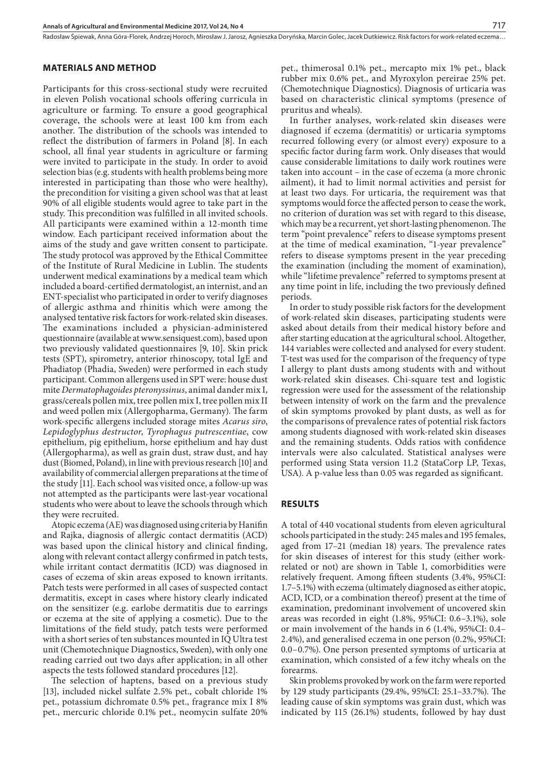Radosław Śpiewak, Anna Góra-Florek, Andrzej Horoch, Mirosław J. Jarosz, Agnieszka Doryńska, Marcin Golec, Jacek Dutkiewicz, Risk factors for work-related eczema...

#### **MATERIALS AND METHOD**

Participants for this cross-sectional study were recruited in eleven Polish vocational schools offering curricula in agriculture or farming. To ensure a good geographical coverage, the schools were at least 100 km from each another. The distribution of the schools was intended to reflect the distribution of farmers in Poland [8]. In each school, all final year students in agriculture or farming were invited to participate in the study. In order to avoid selection bias (e.g. students with health problems being more interested in participating than those who were healthy), the precondition for visiting a given school was that at least 90% of all eligible students would agree to take part in the study. This precondition was fulfilled in all invited schools. All participants were examined within a 12-month time window. Each participant received information about the aims of the study and gave written consent to participate. The study protocol was approved by the Ethical Committee of the Institute of Rural Medicine in Lublin. The students underwent medical examinations by a medical team which included a board-certified dermatologist, an internist, and an ENT-specialist who participated in order to verify diagnoses of allergic asthma and rhinitis which were among the analysed tentative risk factors for work-related skin diseases. The examinations included a physician-administered questionnaire (available at www.sensiquest.com), based upon two previously validated questionnaires [9, 10]. Skin prick tests (SPT), spirometry, anterior rhinoscopy, total IgE and Phadiatop (Phadia, Sweden) were performed in each study participant. Common allergens used in SPT were: house dust mite *Dermatophagoides pteronyssinus*, animal dander mix I, grass/cereals pollen mix, tree pollen mix I, tree pollen mix II and weed pollen mix (Allergopharma, Germany). The farm work-specific allergens included storage mites *Acarus siro*, *Lepidoglyphus destructor*, *Tyrophagus putrescentiae*, cow epithelium, pig epithelium, horse epithelium and hay dust (Allergopharma), as well as grain dust, straw dust, and hay dust (Biomed, Poland), in line with previous research [10] and availability of commercial allergen preparations at the time of the study [11]. Each school was visited once, a follow-up was not attempted as the participants were last-year vocational students who were about to leave the schools through which they were recruited.

Atopic eczema (AE) was diagnosed using criteria by Hanifin and Rajka, diagnosis of allergic contact dermatitis (ACD) was based upon the clinical history and clinical finding, along with relevant contact allergy confirmed in patch tests, while irritant contact dermatitis (ICD) was diagnosed in cases of eczema of skin areas exposed to known irritants. Patch tests were performed in all cases of suspected contact dermatitis, except in cases where history clearly indicated on the sensitizer (e.g. earlobe dermatitis due to earrings or eczema at the site of applying a cosmetic). Due to the limitations of the field study, patch tests were performed with a short series of ten substances mounted in IQ Ultra test unit (Chemotechnique Diagnostics, Sweden), with only one reading carried out two days after application; in all other aspects the tests followed standard procedures [12].

The selection of haptens, based on a previous study [13], included nickel sulfate 2.5% pet., cobalt chloride 1% pet., potassium dichromate 0.5% pet., fragrance mix I 8% pet., mercuric chloride 0.1% pet., neomycin sulfate 20%

pet., thimerosal 0.1% pet., mercapto mix 1% pet., black rubber mix 0.6% pet., and Myroxylon pereirae 25% pet. (Chemotechnique Diagnostics). Diagnosis of urticaria was based on characteristic clinical symptoms (presence of pruritus and wheals).

In further analyses, work-related skin diseases were diagnosed if eczema (dermatitis) or urticaria symptoms recurred following every (or almost every) exposure to a specific factor during farm work. Only diseases that would cause considerable limitations to daily work routines were taken into account – in the case of eczema (a more chronic ailment), it had to limit normal activities and persist for at least two days. For urticaria, the requirement was that symptoms would force the affected person to cease the work, no criterion of duration was set with regard to this disease, which may be a recurrent, yet short-lasting phenomenon. The term "point prevalence" refers to disease symptoms present at the time of medical examination, "1-year prevalence" refers to disease symptoms present in the year preceding the examination (including the moment of examination), while "lifetime prevalence" referred to symptoms present at any time point in life, including the two previously defined periods.

In order to study possible risk factors for the development of work-related skin diseases, participating students were asked about details from their medical history before and after starting education at the agricultural school. Altogether, 144 variables were collected and analysed for every student. T-test was used for the comparison of the frequency of type I allergy to plant dusts among students with and without work-related skin diseases. Chi-square test and logistic regression were used for the assessment of the relationship between intensity of work on the farm and the prevalence of skin symptoms provoked by plant dusts, as well as for the comparisons of prevalence rates of potential risk factors among students diagnosed with work-related skin diseases and the remaining students. Odds ratios with confidence intervals were also calculated. Statistical analyses were performed using Stata version 11.2 (StataCorp LP, Texas, USA). A p-value less than 0.05 was regarded as significant.

### **RESULTS**

A total of 440 vocational students from eleven agricultural schools participated in the study: 245 males and 195 females, aged from 17–21 (median 18) years. The prevalence rates for skin diseases of interest for this study (either workrelated or not) are shown in Table 1, comorbidities were relatively frequent. Among fifteen students (3.4%, 95%CI: 1.7–5.1%) with eczema (ultimately diagnosed as either atopic, ACD, ICD, or a combination thereof) present at the time of examination, predominant involvement of uncovered skin areas was recorded in eight (1.8%, 95%CI: 0.6–3.1%), sole or main involvement of the hands in 6 (1.4%, 95%CI: 0.4– 2.4%), and generalised eczema in one person (0.2%, 95%CI: 0.0–0.7%). One person presented symptoms of urticaria at examination, which consisted of a few itchy wheals on the forearms.

Skin problems provoked by work on the farm were reported by 129 study participants (29.4%, 95%CI: 25.1–33.7%). The leading cause of skin symptoms was grain dust, which was indicated by 115 (26.1%) students, followed by hay dust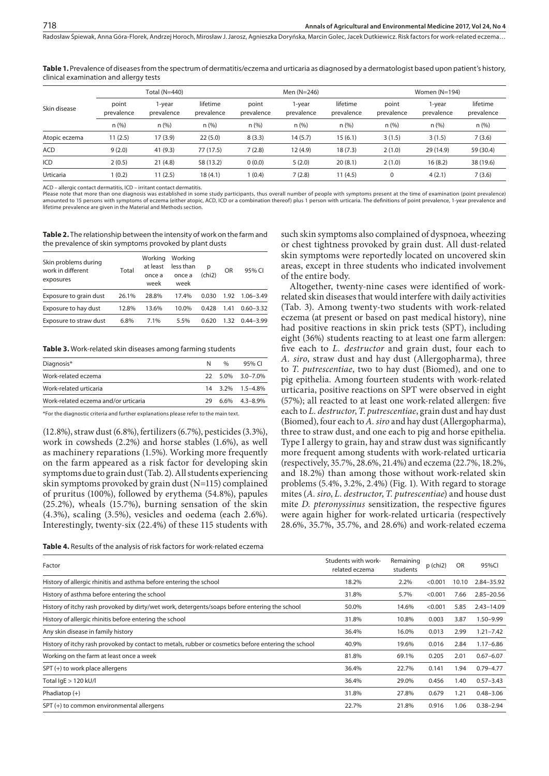**Table 1.** Prevalence of diseases from the spectrum of dermatitis/eczema and urticaria as diagnosed by a dermatologist based upon patient's history, clinical examination and allergy tests

| Skin disease  | Total (N=440)       |                      |                        | Men $(N=246)$       |                      |                        | Women $(N=194)$     |                      |                        |  |
|---------------|---------------------|----------------------|------------------------|---------------------|----------------------|------------------------|---------------------|----------------------|------------------------|--|
|               | point<br>prevalence | l-year<br>prevalence | lifetime<br>prevalence | point<br>prevalence | 1-year<br>prevalence | lifetime<br>prevalence | point<br>prevalence | 1-year<br>prevalence | lifetime<br>prevalence |  |
|               | n(%)                | n (%)                | n(%)                   | n(%)                | n(%)                 | n(%)                   | n(%)                | n (%)                | n(%)                   |  |
| Atopic eczema | 11(2.5)             | 17(3.9)              | 22(5.0)                | 8(3.3)              | 14(5.7)              | 15(6.1)                | 3(1.5)              | 3(1.5)               | 7(3.6)                 |  |
| ACD           | 9(2.0)              | 41 (9.3)             | 77 (17.5)              | 7(2.8)              | 12 (4.9)             | 18(7.3)                | 2(1.0)              | 29 (14.9)            | 59 (30.4)              |  |
| ICD           | 2(0.5)              | 21(4.8)              | 58 (13.2)              | 0(0.0)              | 5(2.0)               | 20(8.1)                | 2(1.0)              | 16(8.2)              | 38 (19.6)              |  |
| Urticaria     | 1(0.2)              | 11 (2.5)             | 18 (4.1)               | 1(0.4)              | 7(2.8)               | 11(4.5)                | 0                   | 4(2.1)               | 7(3.6)                 |  |
|               |                     |                      |                        |                     |                      |                        |                     |                      |                        |  |

ACD – allergic contact dermatitis, ICD – irritant contact dermatitis.

718

Please note that more than one diagnosis was established in some study participants, thus overall number of people with symptoms present at the time of examination (point prevalence) amounted to 15 persons with symptoms of eczema (either atopic, ACD, ICD or a combination thereof) plus 1 person with urticaria. The definitions of point prevalence, 1-year prevalence and diffetime prevalence are given in the Material and Methods section.

**Table 2.** The relationship between the intensity of work on the farm and the prevalence of skin symptoms provoked by plant dusts

| Skin problems during<br>work in different<br>exposures | Total | Working<br>at least<br>once a<br>week | Working<br>less than<br>once a<br>week | р<br>(chi2) | OR   | 95% CI        |
|--------------------------------------------------------|-------|---------------------------------------|----------------------------------------|-------------|------|---------------|
| Exposure to grain dust                                 | 26.1% | 28.8%                                 | 17.4%                                  | 0.030       | 1.92 | $1.06 - 3.49$ |
| Exposure to hay dust                                   | 12.8% | 13.6%                                 | 10.0%                                  | 0.428       | 1.41 | $0.60 - 3.32$ |
| Exposure to straw dust                                 | 6.8%  | 7.1%                                  | 5.5%                                   | 0.620       | 1.32 | $0.44 - 3.99$ |

**Table 3.** Work-related skin diseases among farming students

| Diagnosis*                           | N   | $\%$ | 95% CL              |
|--------------------------------------|-----|------|---------------------|
| Work-related eczema                  |     |      | 22 5.0% 3.0-7.0%    |
| Work-related urticaria               |     |      | 14 3.2% 1.5-4.8%    |
| Work-related eczema and/or urticaria | 29. |      | $6.6\%$ $4.3-8.9\%$ |

\*For the diagnostic criteria and further explanations please refer to the main text.

(12.8%), straw dust (6.8%), fertilizers (6.7%), pesticides (3.3%), work in cowsheds (2.2%) and horse stables (1.6%), as well as machinery reparations (1.5%). Working more frequently on the farm appeared as a risk factor for developing skin symptoms due to grain dust (Tab. 2). All students experiencing skin symptoms provoked by grain dust (N=115) complained of pruritus (100%), followed by erythema (54.8%), papules (25.2%), wheals (15.7%), burning sensation of the skin (4.3%), scaling (3.5%), vesicles and oedema (each 2.6%). Interestingly, twenty-six (22.4%) of these 115 students with such skin symptoms also complained of dyspnoea, wheezing or chest tightness provoked by grain dust. All dust-related skin symptoms were reportedly located on uncovered skin areas, except in three students who indicated involvement of the entire body. Altogether, twenty-nine cases were identified of work-

related skin diseases that would interfere with daily activities (Tab. 3). Among twenty-two students with work-related eczema (at present or based on past medical history), nine had positive reactions in skin prick tests (SPT), including eight (36%) students reacting to at least one farm allergen: five each to *L. destructor* and grain dust, four each to *A. siro*, straw dust and hay dust (Allergopharma), three to *T. putrescentiae*, two to hay dust (Biomed), and one to pig epithelia. Among fourteen students with work-related urticaria, positive reactions on SPT were observed in eight (57%); all reacted to at least one work-related allergen: five each to *L. destructor*, *T. putrescentiae*, grain dust and hay dust (Biomed), four each to *A. siro* and hay dust (Allergopharma), three to straw dust, and one each to pig and horse epithelia. Type I allergy to grain, hay and straw dust was significantly more frequent among students with work-related urticaria (respectively, 35.7%, 28.6%, 21.4%) and eczema (22.7%, 18.2%, and 18.2%) than among those without work-related skin problems (5.4%, 3.2%, 2.4%) (Fig. 1). With regard to storage mites (*A. siro*, *L. destructor*, *T. putrescentiae*) and house dust mite *D. pteronyssinus* sensitization, the respective figures were again higher for work-related urticaria (respectively 28.6%, 35.7%, 35.7%, and 28.6%) and work-related eczema

| <b>Table 4.</b> Results of the analysis of risk factors for work-related eczema |  |  |
|---------------------------------------------------------------------------------|--|--|
|---------------------------------------------------------------------------------|--|--|

| Factor                                                                                              | Students with work-<br>related eczema | Remaining<br>students | p (chi2) | OR    | 95%CI          |
|-----------------------------------------------------------------------------------------------------|---------------------------------------|-----------------------|----------|-------|----------------|
| History of allergic rhinitis and asthma before entering the school                                  | 18.2%                                 | 2.2%                  | < 0.001  | 10.10 | 2.84-35.92     |
| History of asthma before entering the school                                                        | 31.8%                                 | 5.7%                  | < 0.001  | 7.66  | $2.85 - 20.56$ |
| History of itchy rash provoked by dirty/wet work, detergents/soaps before entering the school       | 50.0%                                 | 14.6%                 | < 0.001  | 5.85  | $2.43 - 14.09$ |
| History of allergic rhinitis before entering the school                                             | 31.8%                                 | 10.8%                 | 0.003    | 3.87  | 1.50-9.99      |
| Any skin disease in family history                                                                  | 36.4%                                 | 16.0%                 | 0.013    | 2.99  | $1.21 - 7.42$  |
| History of itchy rash provoked by contact to metals, rubber or cosmetics before entering the school | 40.9%                                 | 19.6%                 | 0.016    | 2.84  | $1.17 - 6.86$  |
| Working on the farm at least once a week                                                            | 81.8%                                 | 69.1%                 | 0.205    | 2.01  | $0.67 - 6.07$  |
| SPT (+) to work place allergens                                                                     | 36.4%                                 | 22.7%                 | 0.141    | 1.94  | $0.79 - 4.77$  |
| Total $lgE > 120$ kU/l                                                                              | 36.4%                                 | 29.0%                 | 0.456    | 1.40  | $0.57 - 3.43$  |
| Phadiatop $(+)$                                                                                     | 31.8%                                 | 27.8%                 | 0.679    | 1.21  | $0.48 - 3.06$  |
| SPT (+) to common environmental allergens                                                           | 22.7%                                 | 21.8%                 | 0.916    | 1.06  | $0.38 - 2.94$  |
|                                                                                                     |                                       |                       |          |       |                |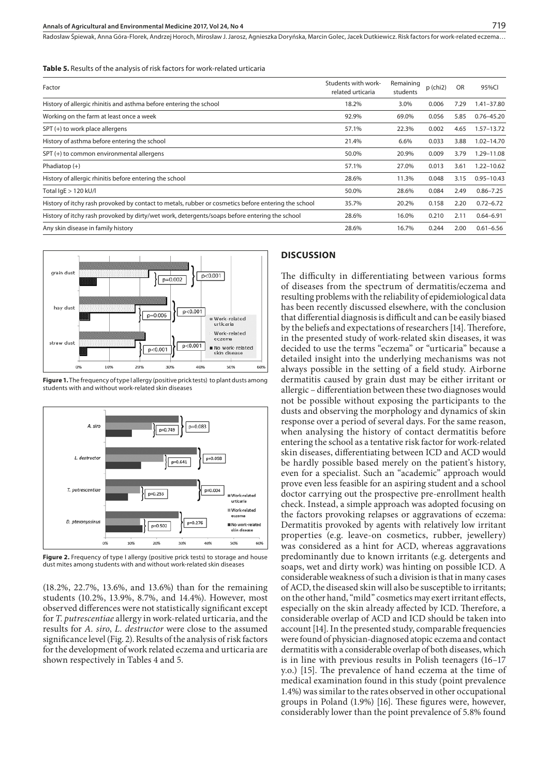Radosław Śpiewak, Anna Góra-Florek, Andrzej Horoch, Mirosław J. Jarosz, Agnieszka Doryńska, Marcin Golec, Jacek Dutkiewicz, Risk factors for work-related eczema...

**Table 5.** Results of the analysis of risk factors for work-related urticaria

| Factor                                                                                              | Students with work-<br>related urticaria | Remaining<br>students | $p$ (chi2) | OR   | 95%CI          |
|-----------------------------------------------------------------------------------------------------|------------------------------------------|-----------------------|------------|------|----------------|
| History of allergic rhinitis and asthma before entering the school                                  | 18.2%                                    | 3.0%                  | 0.006      | 7.29 | $1.41 - 37.80$ |
| Working on the farm at least once a week                                                            | 92.9%                                    | 69.0%                 | 0.056      | 5.85 | $0.76 - 45.20$ |
| SPT (+) to work place allergens                                                                     | 57.1%                                    | 22.3%                 | 0.002      | 4.65 | $1.57 - 13.72$ |
| History of asthma before entering the school                                                        | 21.4%                                    | 6.6%                  | 0.033      | 3.88 | $1.02 - 14.70$ |
| SPT (+) to common environmental allergens                                                           | 50.0%                                    | 20.9%                 | 0.009      | 3.79 | 1.29-11.08     |
| Phadiatop $(+)$                                                                                     | 57.1%                                    | 27.0%                 | 0.013      | 3.61 | $1.22 - 10.62$ |
| History of allergic rhinitis before entering the school                                             | 28.6%                                    | 11.3%                 | 0.048      | 3.15 | $0.95 - 10.43$ |
| Total $lgE > 120$ kU/l                                                                              | 50.0%                                    | 28.6%                 | 0.084      | 2.49 | $0.86 - 7.25$  |
| History of itchy rash provoked by contact to metals, rubber or cosmetics before entering the school | 35.7%                                    | 20.2%                 | 0.158      | 2.20 | $0.72 - 6.72$  |
| History of itchy rash provoked by dirty/wet work, detergents/soaps before entering the school       | 28.6%                                    | 16.0%                 | 0.210      | 2.11 | $0.64 - 6.91$  |
| Any skin disease in family history                                                                  | 28.6%                                    | 16.7%                 | 0.244      | 2.00 | $0.61 - 6.56$  |
|                                                                                                     |                                          |                       |            |      |                |



**Figure 1.** The frequency of type I allergy (positive prick tests) to plant dusts among students with and without work-related skin diseases



**Figure 2.** Frequency of type I allergy (positive prick tests) to storage and house dust mites among students with and without work-related skin diseases

(18.2%, 22.7%, 13.6%, and 13.6%) than for the remaining students (10.2%, 13.9%, 8.7%, and 14.4%). However, most observed differences were not statistically significant except for *T. putrescentiae* allergy in work-related urticaria, and the results for *A. siro*, *L. destructor* were close to the assumed significance level (Fig. 2). Results of the analysis of risk factors for the development of work related eczema and urticaria are shown respectively in Tables 4 and 5.

## **DISCUSSION**

The difficulty in differentiating between various forms of diseases from the spectrum of dermatitis/eczema and resulting problems with the reliability of epidemiological data has been recently discussed elsewhere, with the conclusion that differential diagnosis is difficult and can be easily biased by the beliefs and expectations of researchers [14]. Therefore, in the presented study of work-related skin diseases, it was decided to use the terms "eczema" or "urticaria" because a detailed insight into the underlying mechanisms was not always possible in the setting of a field study. Airborne dermatitis caused by grain dust may be either irritant or allergic – differentiation between these two diagnoses would not be possible without exposing the participants to the dusts and observing the morphology and dynamics of skin response over a period of several days. For the same reason, when analysing the history of contact dermatitis before entering the school as a tentative risk factor for work-related skin diseases, differentiating between ICD and ACD would be hardly possible based merely on the patient's history, even for a specialist. Such an "academic" approach would prove even less feasible for an aspiring student and a school doctor carrying out the prospective pre-enrollment health check. Instead, a simple approach was adopted focusing on the factors provoking relapses or aggravations of eczema: Dermatitis provoked by agents with relatively low irritant properties (e.g. leave-on cosmetics, rubber, jewellery) was considered as a hint for ACD, whereas aggravations predominantly due to known irritants (e.g. detergents and soaps, wet and dirty work) was hinting on possible ICD. A considerable weakness of such a division is that in many cases of ACD, the diseased skin will also be susceptible to irritants; on the other hand, "mild" cosmetics may exert irritant effects, especially on the skin already affected by ICD. Therefore, a considerable overlap of ACD and ICD should be taken into account [14]. In the presented study, comparable frequencies were found of physician-diagnosed atopic eczema and contact dermatitis with a considerable overlap of both diseases, which is in line with previous results in Polish teenagers (16–17 y.o.) [15]. The prevalence of hand eczema at the time of medical examination found in this study (point prevalence 1.4%) was similar to the rates observed in other occupational groups in Poland (1.9%) [16]. These figures were, however, considerably lower than the point prevalence of 5.8% found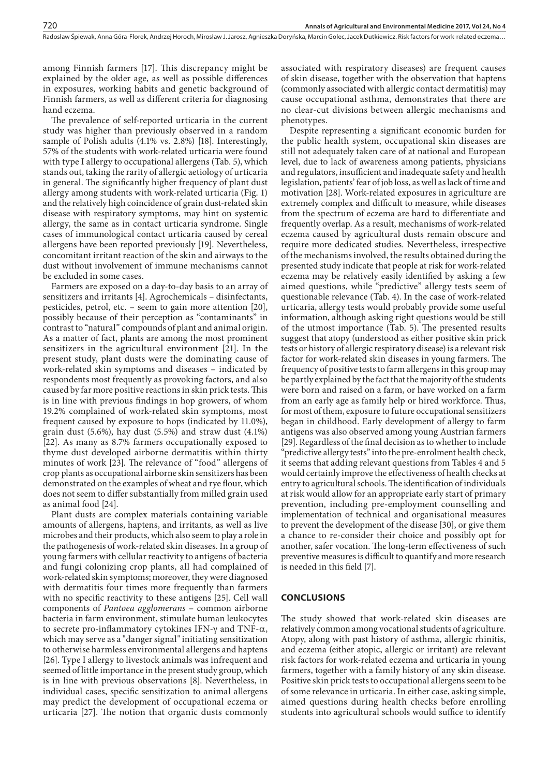among Finnish farmers [17]. This discrepancy might be explained by the older age, as well as possible differences in exposures, working habits and genetic background of Finnish farmers, as well as different criteria for diagnosing hand eczema.

The prevalence of self-reported urticaria in the current study was higher than previously observed in a random sample of Polish adults (4.1% vs. 2.8%) [18]. Interestingly, 57% of the students with work-related urticaria were found with type I allergy to occupational allergens (Tab. 5), which stands out, taking the rarity of allergic aetiology of urticaria in general. The significantly higher frequency of plant dust allergy among students with work-related urticaria (Fig. 1) and the relatively high coincidence of grain dust-related skin disease with respiratory symptoms, may hint on systemic allergy, the same as in contact urticaria syndrome. Single cases of immunological contact urticaria caused by cereal allergens have been reported previously [19]. Nevertheless, concomitant irritant reaction of the skin and airways to the dust without involvement of immune mechanisms cannot be excluded in some cases.

Farmers are exposed on a day-to-day basis to an array of sensitizers and irritants [4]. Agrochemicals – disinfectants, pesticides, petrol, etc. – seem to gain more attention [20], possibly because of their perception as "contaminants" in contrast to "natural" compounds of plant and animal origin. As a matter of fact, plants are among the most prominent sensitizers in the agricultural environment [21]. In the present study, plant dusts were the dominating cause of work-related skin symptoms and diseases – indicated by respondents most frequently as provoking factors, and also caused by far more positive reactions in skin prick tests. This is in line with previous findings in hop growers, of whom 19.2% complained of work-related skin symptoms, most frequent caused by exposure to hops (indicated by 11.0%), grain dust (5.6%), hay dust (5.5%) and straw dust (4.1%) [22]. As many as 8.7% farmers occupationally exposed to thyme dust developed airborne dermatitis within thirty minutes of work [23]. The relevance of "food" allergens of crop plants as occupational airborne skin sensitizers has been demonstrated on the examples of wheat and rye flour, which does not seem to differ substantially from milled grain used as animal food [24].

Plant dusts are complex materials containing variable amounts of allergens, haptens, and irritants, as well as live microbes and their products, which also seem to play a role in the pathogenesis of work-related skin diseases. In a group of young farmers with cellular reactivity to antigens of bacteria and fungi colonizing crop plants, all had complained of work-related skin symptoms; moreover, they were diagnosed with dermatitis four times more frequently than farmers with no specific reactivity to these antigens [25]. Cell wall components of *Pantoea agglomerans* – common airborne bacteria in farm environment, stimulate human leukocytes to secrete pro-inflammatory cytokines IFN-γ and TNF-a, which may serve as a "danger signal" initiating sensitization to otherwise harmless environmental allergens and haptens [26]. Type I allergy to livestock animals was infrequent and seemed of little importance in the present study group, which is in line with previous observations [8]. Nevertheless, in individual cases, specific sensitization to animal allergens may predict the development of occupational eczema or urticaria [27]. The notion that organic dusts commonly

associated with respiratory diseases) are frequent causes of skin disease, together with the observation that haptens (commonly associated with allergic contact dermatitis) may cause occupational asthma, demonstrates that there are no clear-cut divisions between allergic mechanisms and phenotypes.

Despite representing a significant economic burden for the public health system, occupational skin diseases are still not adequately taken care of at national and European level, due to lack of awareness among patients, physicians and regulators, insufficient and inadequate safety and health legislation, patients' fear of job loss, as well as lack of time and motivation [28]. Work-related exposures in agriculture are extremely complex and difficult to measure, while diseases from the spectrum of eczema are hard to differentiate and frequently overlap. As a result, mechanisms of work-related eczema caused by agricultural dusts remain obscure and require more dedicated studies. Nevertheless, irrespective of the mechanisms involved, the results obtained during the presented study indicate that people at risk for work-related eczema may be relatively easily identified by asking a few aimed questions, while "predictive" allergy tests seem of questionable relevance (Tab. 4). In the case of work-related urticaria, allergy tests would probably provide some useful information, although asking right questions would be still of the utmost importance (Tab. 5). The presented results suggest that atopy (understood as either positive skin prick tests or history of allergic respiratory disease) is a relevant risk factor for work-related skin diseases in young farmers. The frequency of positive tests to farm allergens in this group may be partly explained by the fact that the majority of the students were born and raised on a farm, or have worked on a farm from an early age as family help or hired workforce. Thus, for most of them, exposure to future occupational sensitizers began in childhood. Early development of allergy to farm antigens was also observed among young Austrian farmers [29]. Regardless of the final decision as to whether to include "predictive allergy tests" into the pre-enrolment health check, it seems that adding relevant questions from Tables 4 and 5 would certainly improve the effectiveness of health checks at entry to agricultural schools. The identification of individuals at risk would allow for an appropriate early start of primary prevention, including pre-employment counselling and implementation of technical and organisational measures to prevent the development of the disease [30], or give them a chance to re-consider their choice and possibly opt for another, safer vocation. The long-term effectiveness of such preventive measures is difficult to quantify and more research is needed in this field [7].

#### **CONCLUSIONS**

The study showed that work-related skin diseases are relatively common among vocational students of agriculture. Atopy, along with past history of asthma, allergic rhinitis, and eczema (either atopic, allergic or irritant) are relevant risk factors for work-related eczema and urticaria in young farmers, together with a family history of any skin disease. Positive skin prick tests to occupational allergens seem to be of some relevance in urticaria. In either case, asking simple, aimed questions during health checks before enrolling students into agricultural schools would suffice to identify